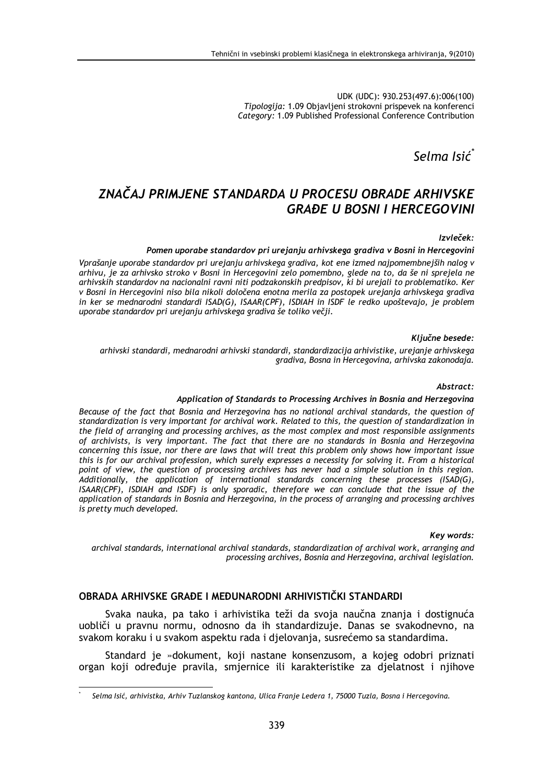UDK (UDC): 930.253(497.6):006(100) Tipologija: 1.09 Objavljeni strokovni prispevek na konferenci Category: 1.09 Published Professional Conference Contribution

Selma Isić

## ZNAČAJ PRIMJENE STANDARDA U PROCESU OBRADE ARHIVSKE **GRAĐE IJ BOSNI I HERCEGOVINI**

#### Izvleček:

#### Pomen uporabe standardov pri urejanju arhivskega gradiva v Bosni in Hercegovini

Vprašanje uporabe standardov pri urejanju arhivskega gradiva, kot ene izmed najpomembnejših nalog v arhivu, je za arhivsko stroko v Bosni in Hercegovini zelo pomembno, glede na to, da še ni sprejela ne arhivskih standardov na nacionalni ravni niti podzakonskih predpisov, ki bi urejali to problematiko. Ker v Bosni in Hercegovini niso bila nikoli določena enotna merila za postopek urejanja arhivskega gradiva in ker se mednarodni standardi ISAD(G), ISAAR(CPF), ISDIAH in ISDF le redko upoštevajo, je problem uporabe standardov pri urejanju arhivskega gradiva še toliko večji.

#### Ključne besede:

arhivski standardi, mednarodni arhivski standardi, standardizacija arhivistike, urejanje arhivskega gradiva, Bosna in Hercegovina, arhivska zakonodaja.

#### Abstract:

#### Application of Standards to Processing Archives in Bosnia and Herzegovina

Because of the fact that Bosnia and Herzegovina has no national archival standards, the question of standardization is very important for archival work. Related to this, the question of standardization in the field of arranging and processing archives, as the most complex and most responsible assignments of archivists, is very important. The fact that there are no standards in Bosnia and Herzegovina concerning this issue, nor there are laws that will treat this problem only shows how important issue this is for our archival profession, which surely expresses a necessity for solving it. From a historical point of view, the question of processing archives has never had a simple solution in this region. Additionally, the application of international standards concerning these processes (ISAD(G), ISAAR(CPF), ISDIAH and ISDF) is only sporadic, therefore we can conclude that the issue of the application of standards in Bosnia and Herzegovina, in the process of arranging and processing archives is pretty much developed.

#### **Kev words:**

archival standards, international archival standards, standardization of archival work, arranging and processing archives, Bosnia and Herzegovina, archival legislation.

### OBRADA ARHIVSKE GRAĐE I MEĐUNARODNI ARHIVISTIČKI STANDARDI

Svaka nauka, pa tako i arhivistika teži da svoja naučna znanja i dostignuća uobliči u pravnu normu, odnosno da ih standardizuje. Danas se svakodnevno, na svakom koraku i u svakom aspektu rada i djelovanja, susrećemo sa standardima.

Standard je »dokument, koji nastane konsenzusom, a kojeg odobri priznati organ koji određuje pravila, smjernice ili karakteristike za djelatnost i njihove

Selma Isić, arhivistka, Arhiv Tuzlanskog kantona, Ulica Franje Ledera 1, 75000 Tuzla, Bosna i Hercegovina.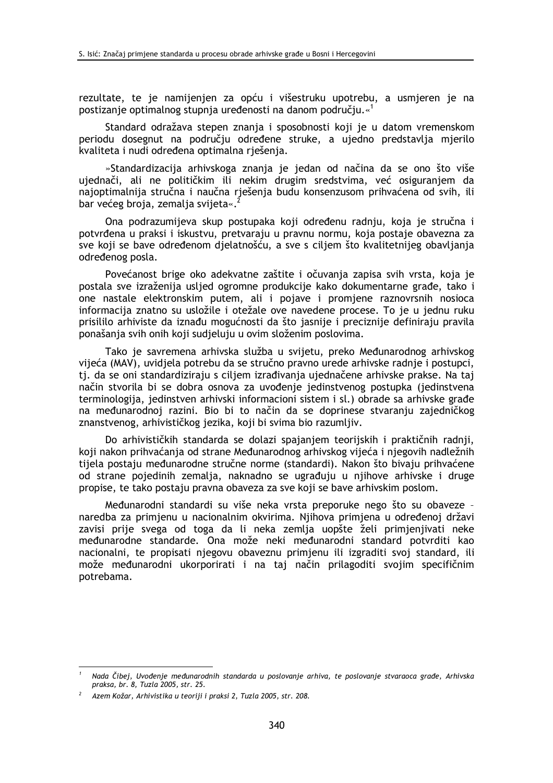rezultate, te je namijenjen za opću i višestruku upotrebu, a usmjeren je na postizanje optimalnog stupnja uređenosti na danom području.«<sup>1</sup>

Standard odražava stepen znanja i sposobnosti koji je u datom vremenskom periodu dosegnut na području određene struke, a ujedno predstavlja mjerilo kvaliteta i nudi određena optimalna rješenja.

»Standardizacija arhivskoga znanja je jedan od načina da se ono što više ujednači, ali ne političkim ili nekim drugim sredstvima, već osiguranjem da najoptimalnija stručna i naučna rješenja budu konsenzusom prihvaćena od svih, ili bar većeg broja, zemalja svijeta«.

Ona podrazumijeva skup postupaka koji određenu radnju, koja je stručna i potvrđena u praksi i iskustvu, pretvaraju u pravnu normu, koja postaje obavezna za sve koji se bave određenom djelatnošću, a sve s ciljem što kvalitetnijeg obavljanja određenog posla.

Povećanost brige oko adekvatne zaštite i očuvanja zapisa svih vrsta, koja je postala sve izraženija usljed ogromne produkcije kako dokumentarne građe, tako i one nastale elektronskim putem, ali i pojave i promjene raznovrsnih nosioca informacija znatno su usložile i otežale ove navedene procese. To je u jednu ruku prisililo arhiviste da iznađu mogućnosti da što jasnije i preciznije definiraju pravila ponašanja svih onih koji sudjeluju u ovim složenim poslovima.

Tako je savremena arhivska služba u svijetu, preko Međunarodnog arhivskog vijeća (MAV), uvidjela potrebu da se stručno pravno urede arhivske radnje i postupci, ti, da se oni standardiziraju s ciljem izrađivanja ujednačene arhivske prakse. Na taj način stvorila bi se dobra osnova za uvođenje jedinstvenog postupka (jedinstvena terminologija, jedinstven arhivski informacioni sistem i sl.) obrade sa arhivske građe na međunarodnoj razini. Bio bi to način da se doprinese stvaranju zajedničkog znanstvenog, arhivističkog jezika, koji bi svima bio razumljiv.

Do arhivističkih standarda se dolazi spajanjem teorijskih i praktičnih radnji, koji nakon prihvaćanja od strane Međunarodnog arhivskog vijeća i njegovih nadležnih tijela postaju međunarodne stručne norme (standardi). Nakon što bivaju prihvaćene od strane pojedinih zemalja, naknadno se ugrađuju u njihove arhivske i druge propise, te tako postaju pravna obaveza za sve koji se bave arhivskim poslom.

Međunarodni standardi su više neka vrsta preporuke nego što su obaveze naredba za primjenu u nacionalnim okvirima. Njihova primjena u određenoj državi zavisi prije svega od toga da li neka zemlja uopšte želi primjenjivati neke međunarodne standarde. Ona može neki međunarodni standard potvrditi kao nacionalni, te propisati njegovu obaveznu primjenu ili izgraditi svoj standard, ili može međunarodni ukorporirati i na taj način prilagoditi svojim specifičnim potrebama.

Nada Čibej, Uvođenje međunarodnih standarda u poslovanje arhiva, te poslovanje stvaraoca građe, Arhivska praksa, br. 8, Tuzla 2005, str. 25.

Azem Kožar, Arhivistika u teoriji i praksi 2, Tuzla 2005, str. 208.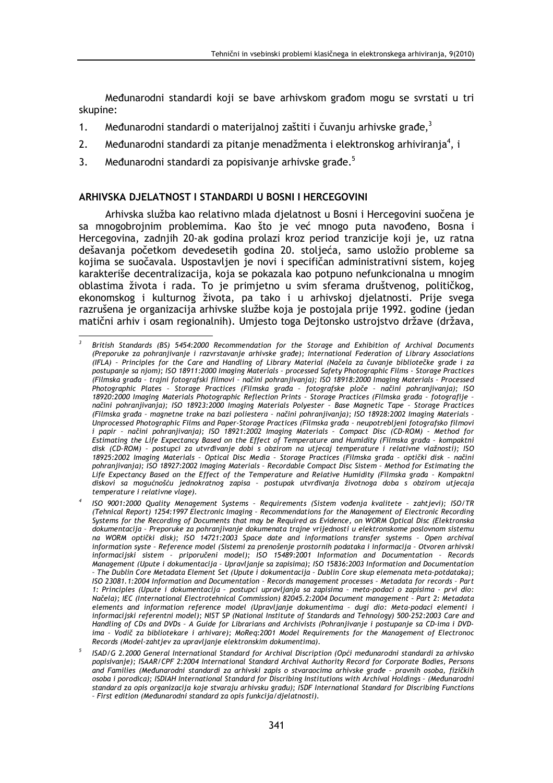Međunarodni standardi koji se bave arhivskom građom mogu se svrstati u tri skupine:

- Međunarodni standardi o materijalnoj zaštiti i čuvanju arhivske građe,<sup>3</sup>  $1.$
- $2.$ Međunarodni standardi za pitanje menadžmenta i elektronskog arhiviranja<sup>4</sup>, i
- $\overline{3}$ . Međunarodni standardi za popisivanje arhivske građe.<sup>5</sup>

#### ARHIVSKA DJELATNOST I STANDARDI U BOSNI I HERCEGOVINI

Arhivska služba kao relativno mlada djelatnost u Bosni i Hercegovini suočena je sa mnogobrojnim problemima. Kao što je već mnogo puta navođeno, Bosna i Hercegovina, zadnjih 20-ak godina prolazi kroz period tranzicije koji je, uz ratna dešavanja početkom devedesetih godina 20. stoljeća, samo usložio probleme sa kojima se suočavala. Uspostavljen je novi i specifičan administrativni sistem, kojeg karakteriše decentralizacija, koja se pokazala kao potpuno nefunkcionalna u mnogim oblastima života i rada. To je primjetno u svim sferama društvenog, političkog, ekonomskog i kulturnog života, pa tako i u arhivskoj djelatnosti. Prije svega razrušena je organizacija arhivske službe koja je postojala prije 1992. godine (jedan matični arhiv i osam regionalnih). Umjesto toga Dejtonsko ustrojstvo države (država,

British Standards (BS) 5454:2000 Recommendation for the Storage and Exhibition of Archival Documents<br>(Preporuke za pohranjivanje i razvrstavanje arhivske građe); International Federation of Library Associations (IFLA) - Principles for the Care and Handling of Library Material (Načela za čuvanje bibliotečke građe i za postupanje sa njom); ISO 18911:2000 Imaging Materials - processed Safety Photographic Films - Storage Practices (Filmska građa - trajni fotografski filmovi - načini pohranjivanja); ISO 18918:2000 Imaging Materials - Processed Photographic Plates - Storage Practices (Filmska grada - fotografske ploče - načini pohranjivanja); ISO<br>18920:2000 Imaging Materials Photographic Reflection Prints - Storage Practices (Filmska grada - fotografije načini pohraniivania): ISO 18923:2000 Imaging Materials Polvester - Base Magnetic Tape - Storgge Practices (Filmska građa - magnetne trake na bazi poliestera - načini pohranjivanja); ISO 18928:2002 Imaging Materials -Unprocessed Photographic Films and Paper-Storage Practices (Filmska grada - neupotrebljeni fotografsko filmovi i papir - načini pohranjivanja); ISO 18921:2002 Imaging Materials - Compact Disc (CD-ROM) - Method for Estimating the Life Expectancy Based on the Effect of Temperature and Humidity (Filmska grada - kompaktni disk (CD-ROM) - postupci za utvrđivanje dobi s obzirom na utjecaj temperature i relativne vlažnosti); ISO 18925:2002 Imaging Materials - Optical Disc Media - Storage Practices (Filmska grada - optički disk - načini pohranjivanja); ISO 18927:2002 Imaging Materials - Recordable Compact Disc Sistem - Method for Estimating the Life Expectancy Based on the Effect of the Temperature and Relative Humidity (Filmska grada - Kompaktni diskovi sa mogućnošću jednokratnog zapisa - postupak utvrđivanja životnoga doba s obzirom utjecaja temperature i relativne vlage).

ISO 9001:2000 Quality Menagement Systems - Requirements (Sistem vođenja kvalitete - zahtjevi); ISO/TR (Tehnical Report) 1254:1997 Electronic Imaging - Recommendations for the Management of Electronic Recording Systems for the Recording of Documents that may be Required as Evidence, on WORM Optical Disc (Elektronska dokumentacija - Preporuke za pohranjivanje dokumenata trajne vrijednosti u elektronskome poslovnom sistemu na WORM optički disk); ISO 14721:2003 Space date and informations transfer systems - Open archival information syste - Reference model (Sistemi za prenošenje prostornih podataka i informacija - Otvoren arhivski informacijski sistem - priporučeni model); ISO 15489:2001 Information and Documentation - Records Management (Upute i dokumentacija - Upravljanje sa zapisima); ISO 15836:2003 Information and Documentation - The Dublin Core Metadata Element Set (Upute i dokumentacija - Dublin Core skup elemenata meta-potdataka); ISO 23081.1:2004 Information and Documentation - Records management processes - Metadata for records - Part 1: Principles (Upute i dokumentacija - postupci upravljanja sa zapisima - meta-podaci o zapisima - prvi dio: Načela); IEC (International Electrotehnical Commission) 82045.2:2004 Document management - Part 2: Metadata elements and information reference model (Upravljanje dokumentima - dugi dio: Meta-podaci elementi i informacijski referentni model); NIST SP (National Institute of Standards and Tehnology) 500-252:2003 Care and Handling of CDs and DVDs - A Guide for Librarians and Archivists (Pohranjivanje i postupanje sa CD-ima i DVDima - Vodič za bibliotekare i arhivare); MoReq:2001 Model Requirements for the Management of Electronoc Records (Model-zahtjev za upravljanje elektronskim dokumentima).

<sup>&</sup>lt;sup>5</sup> ISAD/G 2.2000 General International Standard for Archival Discription (Opći međunarodni standardi za arhivsko popisivanje); ISAAR/CPF 2:2004 International Standard Archival Authority Record for Corporate Bodies, Persons and Families (Međunarodni standardi za arhivski zapis o stvaraocima arhivske građe - pravnih osoba, fizičkih osoba i porodica); ISDIAH International Standard for Discribing Institutions with Archival Holdings - (Međunarodni standard za opis organizacija koje stvaraju arhivsku građu); ISDF International Standard for Discribing Functions - First edition (Medunarodni standard za opis funkcija/djelatnosti).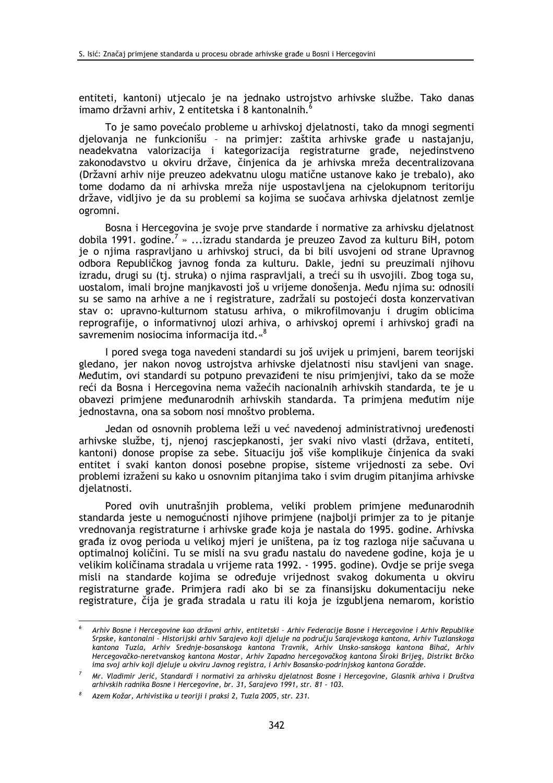entiteti, kantoni) utjecalo je na jednako ustrojstvo arhivske službe. Tako danas imamo državni arhiv, 2 entitetska i 8 kantonalnih.

To je samo povećalo probleme u arhivskoj djelatnosti, tako da mnogi segmenti djelovanja ne funkcionišu - na primjer: zaštita arhivske građe u nastajanju, neadekvatna valorizacija i kategorizacija registraturne građe, nejedinstveno zakonodavstvo u okviru države, činjenica da je arhivska mreža decentralizovana (Državni arhiv nije preuzeo adekvatnu ulogu matične ustanove kako je trebalo), ako tome dodamo da ni arhivska mreža nije uspostavljena na cjelokupnom teritoriju države, vidljivo je da su problemi sa kojima se suočava arhivska djelatnost zemlje ogromni.

Bosna i Hercegovina je svoje prve standarde i normative za arhivsku djelatnost dobila 1991. godine.<sup>7</sup> » ...izradu standarda je preuzeo Zavod za kulturu BiH, potom je o njima raspravljano u arhivskoj struci, da bi bili usvojeni od strane Upravnog odbora Republičkog javnog fonda za kulturu. Dakle, jedni su preuzimali njihovu izradu, drugi su (tj. struka) o njima raspravljali, a treći su ih usvojili. Zbog toga su, uostalom, imali brojne manikavosti još u vrijeme donošenja. Među njima su: odnosili su se samo na arhive a ne i registrature, zadržali su postojeći dosta konzervativan stav o: upravno-kulturnom statusu arhiva, o mikrofilmovanju i drugim oblicima reprografije, o informativnoj ulozi arhiva, o arhivskoj opremi i arhivskoj građi na savremenim nosiocima informacija itd.«<sup>8</sup>

I pored svega toga navedeni standardi su još uvijek u primjeni, barem teorijski gledano, jer nakon novog ustrojstva arhivske djelatnosti nisu stavljeni van snage. Međutim, ovi standardi su potpuno prevaziđeni te nisu primjenjivi, tako da se može reći da Bosna i Hercegovina nema važećih nacionalnih arhivskih standarda, te je u obavezi primjene međunarodnih arhivskih standarda. Ta primjena međutim nije jednostavna, ona sa sobom nosi mnoštvo problema.

Jedan od osnovnih problema leži u već navedenoj administrativnoj uređenosti arhivske službe, tj, njenoj rascjepkanosti, jer svaki nivo vlasti (država, entiteti, kantoni) donose propise za sebe. Situaciju još više komplikuje činjenica da svaki entitet i svaki kanton donosi posebne propise, sisteme vrijednosti za sebe. Ovi problemi izraženi su kako u osnovnim pitanjima tako i svim drugim pitanjima arhivske dielatnosti.

Pored ovih unutrašnjih problema, veliki problem primjene međunarodnih standarda jeste u nemogućnosti njihove primjene (najbolji primjer za to je pitanje vrednovanja registraturne i arhivske građe koja je nastala do 1995. godine. Arhivska građa iz ovog perioda u velikoj mjeri je uništena, pa iz tog razloga nije sačuvana u optimalnoj količini. Tu se misli na svu građu nastalu do navedene godine, koja je u velikim količinama stradala u vrijeme rata 1992. - 1995. godine). Ovdje se prije svega misli na standarde kojima se određuje vrijednost svakog dokumenta u okviru registraturne građe. Primjera radi ako bi se za finansijsku dokumentaciju neke registrature, čija je građa stradala u ratu ili koja je izgubljena nemarom, koristio

Arhiv Bosne i Hercegovine kao državni arhiv, entitetski - Arhiv Federacije Bosne i Hercegovine i Arhiv Republike Srpske, kantonalni - Historijski arhiv Sarajevo koji djeluje na području Sarajevskoga kantona, Arhiv Tuzlanskoga kantona Tuzla, Arhiv Srednie-bosanskoga kantona Travnik, Arhiv Unsko-sanskoga kantona Bihać, Arhiv Hercegovačko-neretvanskog kantona Mostar, Arhiv Zapadno hercegovačkog kantona Široki Brijeg, Distrikt Brčko ima svoj arhiv koji djeluje u okviru Javnog registra, i Arhiv Bosansko-podrinjskog kantona Goražde.

Mr. Vladimir Jerić, Standardi i normativi za arhivsku djelatnost Bosne i Hercegovine, Glasnik arhiva i Društva arhivskih radnika Bosne i Hercegovine, br. 31, Sarajevo 1991, str. 81 - 103.

Azem Kožar, Arhivistika u teoriji i praksi 2, Tuzla 2005, str. 231.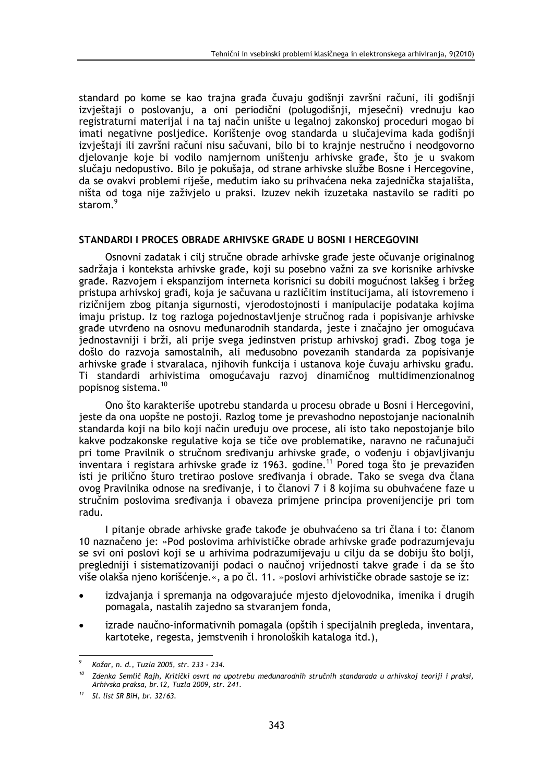standard po kome se kao trajna građa čuvaju godišnji završni računi, ili godišnji izvještaji o poslovanju, a oni periodični (polugodišnji, mjesečni) vrednuju kao registraturni materijal i na taj način unište u legalnoj zakonskoj proceduri mogao bi imati negativne posljedice. Korištenje ovog standarda u slučajevima kada godišnji izvještaji ili završni računi nisu sačuvani, bilo bi to krajnje nestručno i neodgovorno djelovanje koje bi vodilo namjernom uništenju arhivske građe, što je u svakom slučaju nedopustivo. Bilo je pokušaja, od strane arhivske službe Bosne i Hercegovine, da se ovakvi problemi riješe, međutim iako su prihvaćena neka zajednička stajališta, ništa od toga nije zaživjelo u praksi. Izuzev nekih izuzetaka nastavilo se raditi po starom.

## STANDARDI I PROCES OBRADE ARHIVSKE GRAĐE U BOSNI I HERCEGOVINI

Osnovni zadatak i cilj stručne obrade arhivske građe jeste očuvanje originalnog sadržaja i konteksta arhivske građe, koji su posebno važni za sve korisnike arhivske građe. Razvojem i ekspanzijom interneta korisnici su dobili mogućnost lakšeg i bržeg pristupa arhivskoj građi, koja je sačuvana u različitim institucijama, ali istovremeno i rizičnijem zbog pitanja sigurnosti, vjerodostojnosti i manipulacije podataka kojima imaju pristup. Iz tog razloga pojednostavljenje stručnog rada i popisivanje arhivske grade utvrđeno na osnovu međunarodnih standarda, jeste i značajno jer omogućava jednostavniji i brži, ali prije svega jedinstven pristup arhivskoj građi. Zbog toga je došlo do razvoja samostalnih, ali međusobno povezanih standarda za popisivanje arhivske građe i stvaralaca, njihovih funkcija i ustanova koje čuvaju arhivsku građu. Ti standardi arhivistima omogućavaju razvoj dinamičnog multidimenzionalnog popisnog sistema.<sup>10</sup>

Ono što karakteriše upotrebu standarda u procesu obrade u Bosni i Hercegovini. jeste da ona uopšte ne postoji. Razlog tome je prevashodno nepostojanje nacionalnih standarda koji na bilo koji način uređuju ove procese, ali isto tako nepostojanje bilo kakve podzakonske regulative koja se tiče ove problematike, naravno ne računajuči pri tome Pravilnik o stručnom sređivanju arhivske građe, o vođenju i objavljivanju inventara i registara arhivske građe iz 1963. godine.<sup>11</sup> Pored toga što je prevaziđen isti je prilično šturo tretirao poslove sređivanja i obrade. Tako se svega dva člana ovog Pravilnika odnose na sređivanje, i to članovi 7 i 8 kojima su obuhvaćene faze u stručnim poslovima sređivanja i obaveza primjene principa provenijencije pri tom radu.

I pitanje obrade arhivske građe takođe je obuhvaćeno sa tri člana i to: članom 10 naznačeno je: »Pod poslovima arhivističke obrade arhivske građe podrazumjevaju se svi oni poslovi koji se u arhivima podrazumijevaju u cilju da se dobiju što bolji, pregledniji i sistematizovaniji podaci o naučnoj vrijednosti takve građe i da se što više olakša njeno korišćenje.«, a po čl. 11. »poslovi arhivističke obrade sastoje se iz:

- izdvajanja i spremanja na odgovarajuće mjesto djelovodnika, imenika i drugih pomagala, nastalih zajedno sa stvaranjem fonda,
- izrade naučno-informativnih pomagala (opštih i specijalnih pregleda, inventara, kartoteke, regesta, jemstvenih i hronoloških kataloga itd.),

Kožar, n. d., Tuzla 2005, str. 233 - 234.

Zdenka Semlič Rajh, Kritički osvrt na upotrebu međunarodnih stručnih standarada u arhivskoj teoriji i praksi, Arhivska praksa, br. 12, Tuzla 2009, str. 241.

 $11$  Sl. list SR BiH, br. 32/63.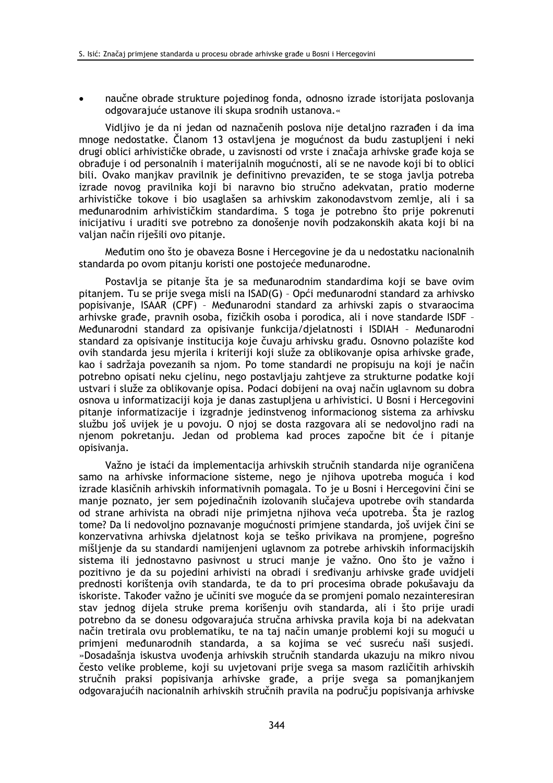naučne obrade strukture pojedinog fonda, odnosno izrade istorijata poslovanja odgovarajuće ustanove ili skupa srodnih ustanova.«

Vidliivo ie da ni jedan od naznačenih poslova nije detaljno razrađen i da ima mnoge nedostatke. Članom 13 ostavljena je mogućnost da budu zastupljeni i neki drugi oblici arhivističke obrade, u zavisnosti od vrste i značaja arhivske građe koja se obrađuje i od personalnih i materijalnih mogućnosti, ali se ne navode koji bi to oblici bili. Ovako manjkav pravilnik je definitivno prevaziđen, te se stoga javlja potreba izrade novog pravilnika koji bi naravno bio stručno adekvatan, pratio moderne arhivističke tokove i bio usaglašen sa arhivskim zakonodavstvom zemlje, ali i sa međunarodnim arhivističkim standardima. S toga je potrebno što prije pokrenuti inicijativu i uraditi sve potrebno za donošenje novih podzakonskih akata koji bi na valjan način riješili ovo pitanje.

Međutim ono što je obaveza Bosne i Hercegovine je da u nedostatku nacionalnih standarda po ovom pitanju koristi one postojeće međunarodne.

Postavlia se pitanie šta je sa međunarodnim standardima koji se bave ovim pitanjem. Tu se prije svega misli na ISAD(G) - Opći međunarodni standard za arhivsko popisivanje, ISAAR (CPF) - Međunarodni standard za arhivski zapis o stvaraocima arhivske građe, pravnih osoba, fizičkih osoba i porodica, ali i nove standarde ISDF -Međunarodni standard za opisivanie funkcija/dielatnosti i ISDIAH - Međunarodni standard za opisivanje institucija koje čuvaju arhivsku građu. Osnovno polazište kod ovih standarda jesu mjerila i kriteriji koji služe za oblikovanje opisa arhivske građe, kao i sadržaja povezanih sa njom. Po tome standardi ne propisuju na koji je način potrebno opisati neku cjelinu, nego postavljaju zahtjeve za strukturne podatke koji ustvari i služe za oblikovanje opisa. Podaci dobijeni na ovaj način uglavnom su dobra osnova u informatizaciji koja je danas zastupljena u arhivistici. U Bosni i Hercegovini pitanje informatizacije i izgradnje jedinstvenog informacionog sistema za arhivsku službu još uvijek je u povoju. O njoj se dosta razgovara ali se nedovoljno radi na nienom pokretaniu. Jedan od problema kad proces započne bit će i pitanie opisivania.

Važno je istaći da implementacija arhivskih stručnih standarda nije ograničena samo na arhivske informacione sisteme, nego je nijhova upotreba moguća i kod izrade klasičnih arhivskih informativnih pomagala. To je u Bosni i Hercegovini čini se manje poznato, jer sem pojedinačnih izolovanih slučajeva upotrebe ovih standarda od strane arhivista na obradi nije primjetna njihova veća upotreba. Šta je razlog tome? Da li nedovoljno poznavanje mogućnosti primjene standarda, još uvijek čini se konzervativna arhivska djelatnost koja se teško privikava na promjene, pogrešno mišljenje da su standardi namijenjeni uglavnom za potrebe arhivskih informacijskih sistema ili jednostavno pasivnost u struci manje je važno. Ono što je važno i pozitivno je da su pojedini arhivisti na obradi i sređivanju arhivske građe uvidjeli prednosti korištenja ovih standarda, te da to pri procesima obrade pokušavaju da iskoriste. Također važno je učiniti sve moguće da se promjeni pomalo nezainteresiran stav jednog dijela struke prema korišenju ovih standarda, ali i što prije uradi potrebno da se donesu odgovarajuća stručna arhivska pravila koja bi na adekvatan način tretirala ovu problematiku, te na taj način umanje problemi koji su mogući u primjeni međunarodnih standarda, a sa kojima se već susreću naši susjedi. »Dosadašnja iskustva uvođenja arhivskih stručnih standarda ukazuju na mikro nivou često velike probleme, koji su uvjetovani prije svega sa masom različitih arhivskih stručnih praksi popisivanja arhivske građe, a prije svega sa pomanjkanjem odgovarajućih nacionalnih arhivskih stručnih pravila na području popisivanja arhivske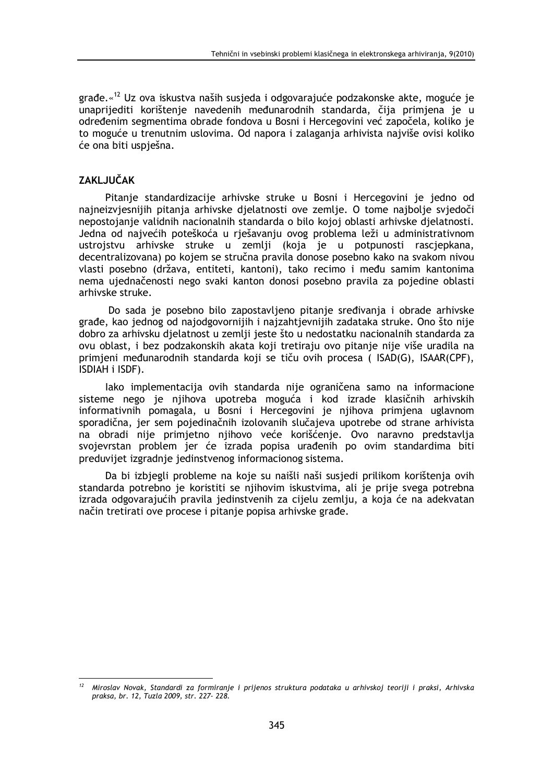građe.«<sup>12</sup> Uz ova iskustva naših susjeda i odgovarajuće podzakonske akte, moguće je unaprijediti korištenje navedenih međunarodnih standarda, čija primjena je u određenim segmentima obrade fondova u Bosni i Hercegovini već započela, koliko je to moguće u trenutnim uslovima. Od napora i zalaganja arhivista najviše ovisi koliko će ona biti uspješna.

## **ZAKLJUČAK**

Pitanje standardizacije arhivske struke u Bosni i Hercegovini je jedno od najneizvjesnijih pitanja arhivske djelatnosti ove zemlje. O tome najbolje svjedoči nepostojanje validnih nacionalnih standarda o bilo kojoj oblasti arhivske djelatnosti. Jedna od najvećih poteškoća u rješavanju ovog problema leži u administrativnom ustrojstvu arhivske struke u zemlji (koja je u potpunosti rascjepkana, decentralizovana) po kojem se stručna pravila donose posebno kako na svakom nivou vlasti posebno (država, entiteti, kantoni), tako recimo i među samim kantonima nema ujednačenosti nego svaki kanton donosi posebno pravila za pojedine oblasti arhivske struke.

Do sada je posebno bilo zapostavljeno pitanje sređivanja i obrade arhivske građe, kao jednog od najodgovornijih i najzahtjevnijih zadataka struke. Ono što nije dobro za arhivsku djelatnost u zemlji jeste što u nedostatku nacionalnih standarda za ovu oblast, i bez podzakonskih akata koji tretiraju ovo pitanje nije više uradila na primjeni međunarodnih standarda koji se tiču ovih procesa (ISAD(G), ISAAR(CPF), ISDIAH i ISDF).

lako implementacija ovih standarda nije ograničena samo na informacione sisteme nego je njihova upotreba moguća i kod izrade klasičnih arhivskih informativnih pomagala, u Bosni i Hercegovini je njihova primjena uglavnom sporadična, jer sem pojedinačnih izolovanih slučajeva upotrebe od strane arhivista na obradi nije primjetno njihovo veće korišćenje. Ovo naravno predstavlja svojevrstan problem jer će izrada popisa urađenih po ovim standardima biti preduvijet izgradnje jedinstvenog informacionog sistema.

Da bi izbjegli probleme na koje su naišli naši susjedi prilikom korištenja ovih standarda potrebno je koristiti se njihovim iskustvima, ali je prije svega potrebna izrada odgovarajućih pravila jedinstvenih za cijelu zemlju, a koja će na adekvatan način tretirati ove procese i pitanje popisa arhivske građe.

Miroslav Novak, Standardi za formiranje i prijenos struktura podataka u arhivskoj teoriji i praksi, Arhivska praksa, br. 12, Tuzla 2009, str. 227- 228.